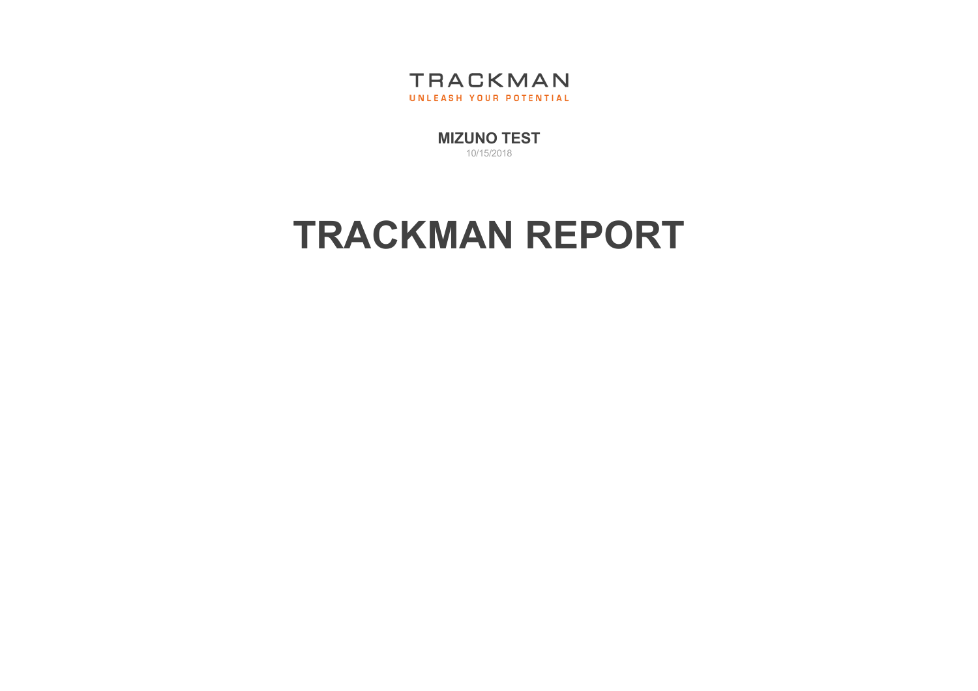

[MIZUNO](http://trackmangolf.com/) TEST 10/15/2018

## TRACKMAN REPORT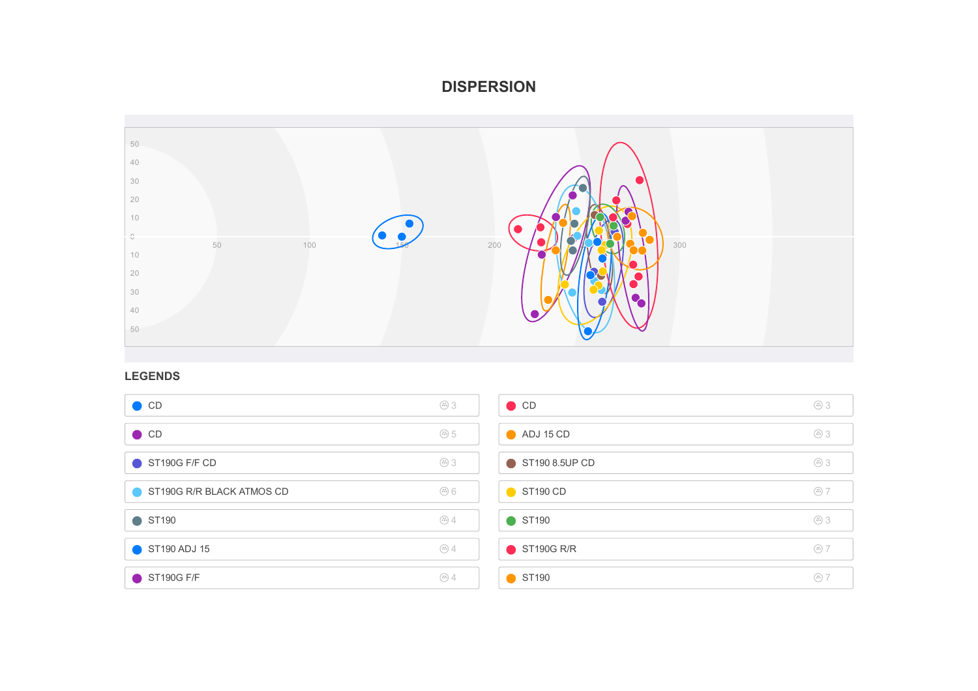## DISPERSION



## LEGENDS

| $\bullet$ CD              | $\circled{11}$                                                                                                          | $\bullet$ CD         | $\circled{11}$   |
|---------------------------|-------------------------------------------------------------------------------------------------------------------------|----------------------|------------------|
| $\bullet$ CD              | $\circled{1}$                                                                                                           | $\bigcirc$ ADJ 15 CD | $\circledcirc$ 3 |
| ST190G F/F CD             | $\circledcirc$ 3                                                                                                        | ST190 8.5UP CD       | $\circled{11}$   |
| ST190G R/R BLACK ATMOS CD | $\overset{\scriptscriptstyle(17)}{\scriptscriptstyle (11)}$ $\overset{\scriptscriptstyle(17)}{\scriptscriptstyle (11)}$ | ST <sub>190</sub> CD | $\circledcirc$ 7 |
| $\bullet$ ST190           | $\circledcirc$ 4                                                                                                        | ● ST190              | $\circled{11}$   |
| ST190 ADJ 15              | $\circledcirc$ 4                                                                                                        | ST190G R/R           | $\circledcirc$ 7 |
| ST190G F/F                | $\circled{H}$                                                                                                           | ST190                | $\circled{H}$    |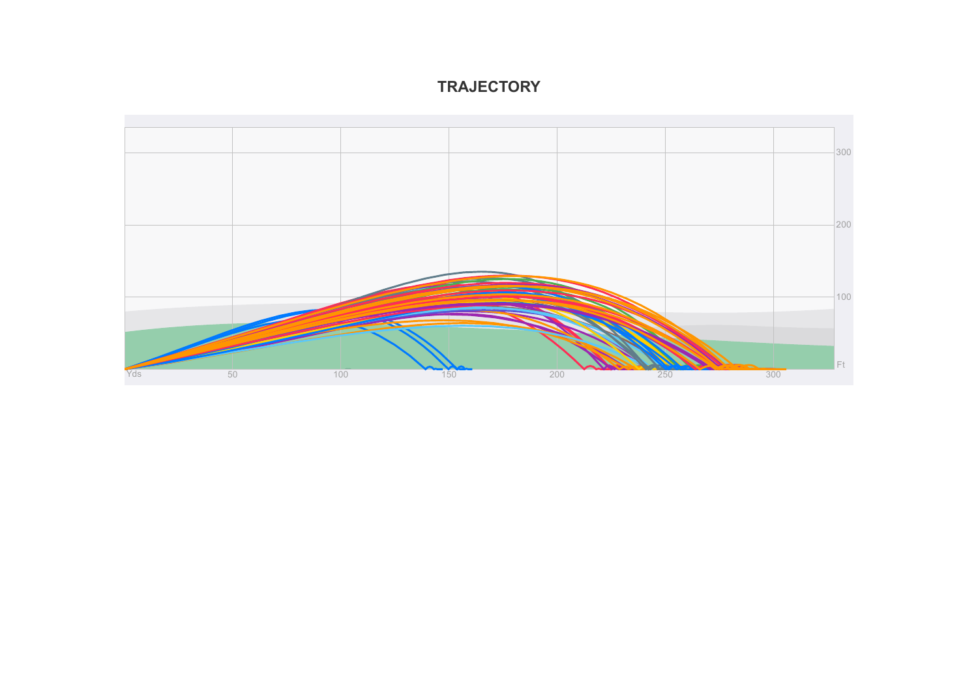## **TRAJECTORY**

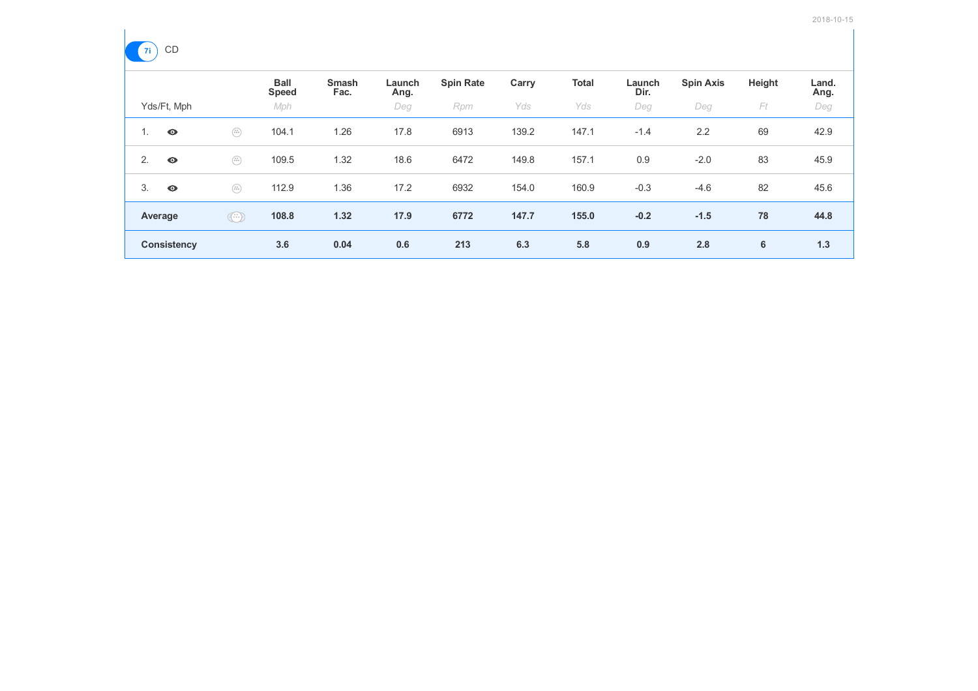

| 一  |                    |                                                                                      |                             |                      |                |                  |       |              |                |                  |        |               |
|----|--------------------|--------------------------------------------------------------------------------------|-----------------------------|----------------------|----------------|------------------|-------|--------------|----------------|------------------|--------|---------------|
|    |                    |                                                                                      | <b>Ball</b><br><b>Speed</b> | <b>Smash</b><br>Fac. | Launch<br>Ang. | <b>Spin Rate</b> | Carry | <b>Total</b> | Launch<br>Dir. | <b>Spin Axis</b> | Height | Land.<br>Ang. |
|    | Yds/Ft, Mph        |                                                                                      | Mph                         |                      | Deg            | Rpm              | Yds   | Yds          | Deg            | Deg              | Ft     | Deg           |
| 1. | $\bullet$          | $\begin{pmatrix} 0 & 0 \\ 0 & 0 \\ 0 & 0 \end{pmatrix}$                              | 104.1                       | 1.26                 | 17.8           | 6913             | 139.2 | 147.1        | $-1.4$         | 2.2              | 69     | 42.9          |
| 2. | $\bullet$          | $\begin{pmatrix} x\, y \\ 0 \, 0 \, 0 \end{pmatrix}$                                 | 109.5                       | 1.32                 | 18.6           | 6472             | 149.8 | 157.1        | 0.9            | $-2.0$           | 83     | 45.9          |
| 3. | $\bullet$          | $\left(\begin{smallmatrix} 0 & 0 \\ 0 & 0 & 0 \\ 0 & 0 & 0 \end{smallmatrix}\right)$ | 112.9                       | 1.36                 | 17.2           | 6932             | 154.0 | 160.9        | $-0.3$         | $-4.6$           | 82     | 45.6          |
|    | Average            | $\odot$                                                                              | 108.8                       | 1.32                 | 17.9           | 6772             | 147.7 | 155.0        | $-0.2$         | $-1.5$           | 78     | 44.8          |
|    | <b>Consistency</b> |                                                                                      | 3.6                         | 0.04                 | 0.6            | 213              | 6.3   | 5.8          | 0.9            | 2.8              | 6      | 1.3           |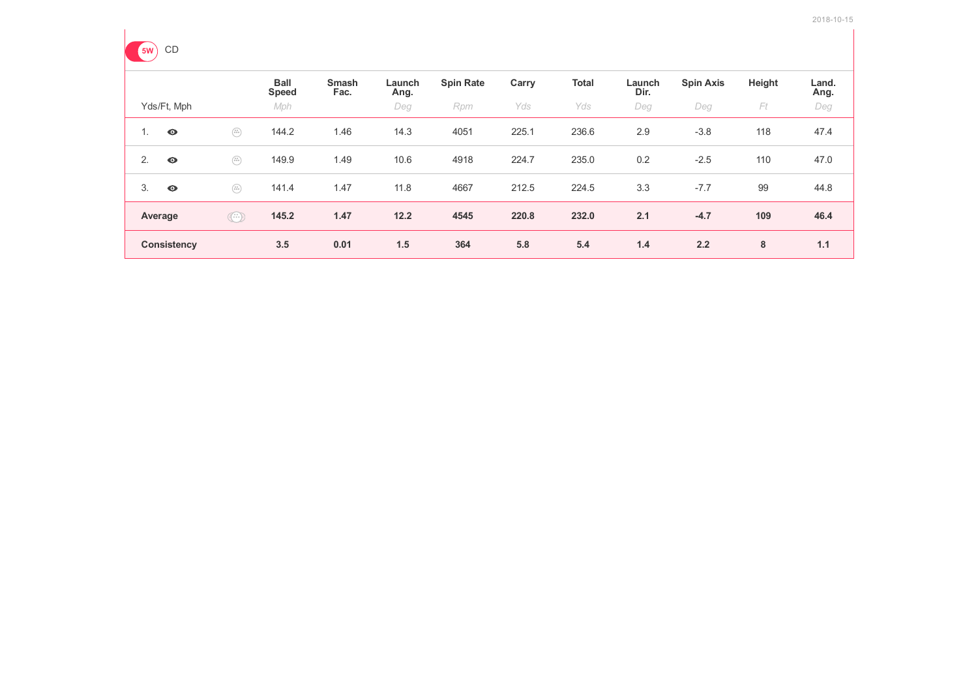

| . . |                    |                                                                                                                                                                                                                                                                                                                                                     |                             |                      |                |                  |       |              |                |                  |        |               |
|-----|--------------------|-----------------------------------------------------------------------------------------------------------------------------------------------------------------------------------------------------------------------------------------------------------------------------------------------------------------------------------------------------|-----------------------------|----------------------|----------------|------------------|-------|--------------|----------------|------------------|--------|---------------|
|     |                    |                                                                                                                                                                                                                                                                                                                                                     | <b>Ball</b><br><b>Speed</b> | <b>Smash</b><br>Fac. | Launch<br>Ang. | <b>Spin Rate</b> | Carry | <b>Total</b> | Launch<br>Dir. | <b>Spin Axis</b> | Height | Land.<br>Ang. |
|     | Yds/Ft, Mph        |                                                                                                                                                                                                                                                                                                                                                     | Mph                         |                      | Deg            | Rpm              | Yds   | Yds          | Deg            | Deg              | Ft     | Deg           |
| 1.  | $\bullet$          | $\begin{pmatrix} x\, y \\ 0 \, 0 \, 0 \end{pmatrix}$                                                                                                                                                                                                                                                                                                | 144.2                       | 1.46                 | 14.3           | 4051             | 225.1 | 236.6        | 2.9            | $-3.8$           | 118    | 47.4          |
| 2.  | $\bullet$          | $\begin{pmatrix} x\, y \\ 0 \, 0 \, 0 \end{pmatrix}$                                                                                                                                                                                                                                                                                                | 149.9                       | 1.49                 | 10.6           | 4918             | 224.7 | 235.0        | 0.2            | $-2.5$           | 110    | 47.0          |
| 3.  | $\bullet$          | $\begin{pmatrix} x y \\ 0 \ 0 \ 0 \end{pmatrix}$                                                                                                                                                                                                                                                                                                    | 141.4                       | 1.47                 | 11.8           | 4667             | 212.5 | 224.5        | 3.3            | $-7.7$           | 99     | 44.8          |
|     | Average            | $\begin{picture}(42,10) \put(0,0){\line(1,0){10}} \put(15,0){\line(1,0){10}} \put(15,0){\line(1,0){10}} \put(15,0){\line(1,0){10}} \put(15,0){\line(1,0){10}} \put(15,0){\line(1,0){10}} \put(15,0){\line(1,0){10}} \put(15,0){\line(1,0){10}} \put(15,0){\line(1,0){10}} \put(15,0){\line(1,0){10}} \put(15,0){\line(1,0){10}} \put(15,0){\line(1$ | 145.2                       | 1.47                 | 12.2           | 4545             | 220.8 | 232.0        | 2.1            | $-4.7$           | 109    | 46.4          |
|     | <b>Consistency</b> |                                                                                                                                                                                                                                                                                                                                                     | 3.5                         | 0.01                 | 1.5            | 364              | 5.8   | 5.4          | 1.4            | 2.2              | 8      | 1.1           |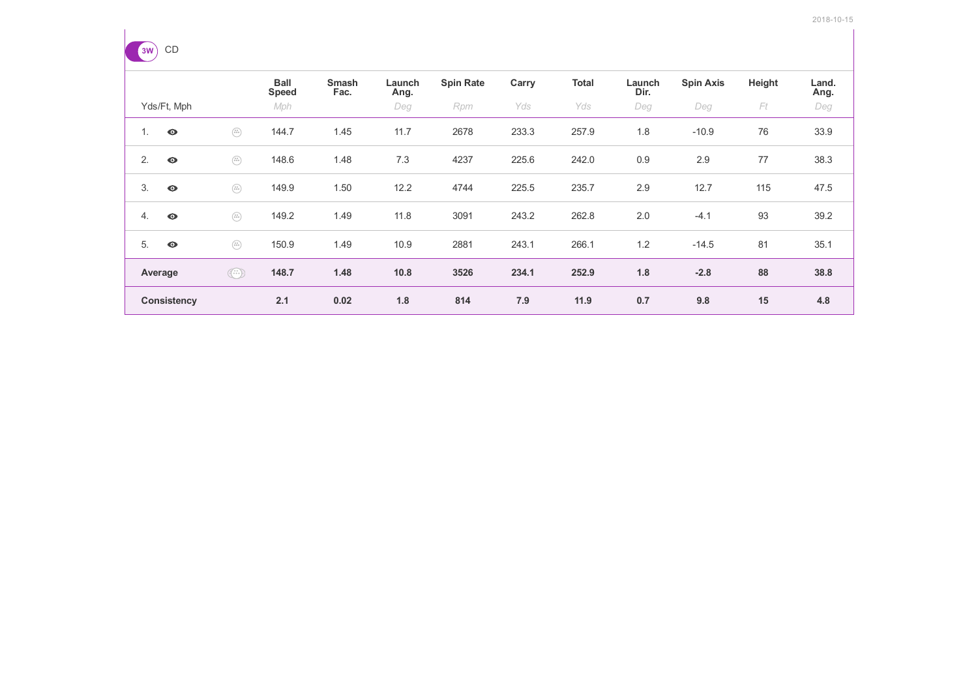

|    |                    |                                                                                                                                                                                                                                                                                                                                                     | <b>Ball</b><br><b>Speed</b> | <b>Smash</b><br>Fac. | Launch<br>Ang. | <b>Spin Rate</b> | Carry | <b>Total</b> | Launch<br>Dir. | <b>Spin Axis</b> | Height | Land.<br>Ang. |
|----|--------------------|-----------------------------------------------------------------------------------------------------------------------------------------------------------------------------------------------------------------------------------------------------------------------------------------------------------------------------------------------------|-----------------------------|----------------------|----------------|------------------|-------|--------------|----------------|------------------|--------|---------------|
|    | Yds/Ft, Mph        |                                                                                                                                                                                                                                                                                                                                                     | Mph                         |                      | Deg            | Rpm              | Yds   | Yds          | Deg            | Deg              | Ft     | Deg           |
| 1. | $\bullet$          | $\begin{pmatrix} x y \\ \bar x \bar y \bar z \end{pmatrix}$                                                                                                                                                                                                                                                                                         | 144.7                       | 1.45                 | 11.7           | 2678             | 233.3 | 257.9        | 1.8            | $-10.9$          | 76     | 33.9          |
| 2. | $\bullet$          | $\begin{pmatrix} x y \\ \bar x \bar y \bar z \end{pmatrix}$                                                                                                                                                                                                                                                                                         | 148.6                       | 1.48                 | 7.3            | 4237             | 225.6 | 242.0        | 0.9            | 2.9              | 77     | 38.3          |
| 3. | $\bullet$          | $\begin{pmatrix} u \\ v \\ v \end{pmatrix}$                                                                                                                                                                                                                                                                                                         | 149.9                       | 1.50                 | 12.2           | 4744             | 225.5 | 235.7        | 2.9            | 12.7             | 115    | 47.5          |
| 4. | $\bullet$          | $\begin{pmatrix} v \\ w \\ w \end{pmatrix}$                                                                                                                                                                                                                                                                                                         | 149.2                       | 1.49                 | 11.8           | 3091             | 243.2 | 262.8        | 2.0            | $-4.1$           | 93     | 39.2          |
| 5. | $\bullet$          | $\begin{pmatrix} x y \\ 0 \ 0 \end{pmatrix}$                                                                                                                                                                                                                                                                                                        | 150.9                       | 1.49                 | 10.9           | 2881             | 243.1 | 266.1        | 1.2            | $-14.5$          | 81     | 35.1          |
|    | Average            | $\begin{picture}(220,20) \put(0,0){\line(1,0){10}} \put(15,0){\line(1,0){10}} \put(15,0){\line(1,0){10}} \put(15,0){\line(1,0){10}} \put(15,0){\line(1,0){10}} \put(15,0){\line(1,0){10}} \put(15,0){\line(1,0){10}} \put(15,0){\line(1,0){10}} \put(15,0){\line(1,0){10}} \put(15,0){\line(1,0){10}} \put(15,0){\line(1,0){10}} \put(15,0){\line($ | 148.7                       | 1.48                 | 10.8           | 3526             | 234.1 | 252.9        | 1.8            | $-2.8$           | 88     | 38.8          |
|    | <b>Consistency</b> |                                                                                                                                                                                                                                                                                                                                                     | 2.1                         | 0.02                 | 1.8            | 814              | 7.9   | 11.9         | 0.7            | 9.8              | 15     | 4.8           |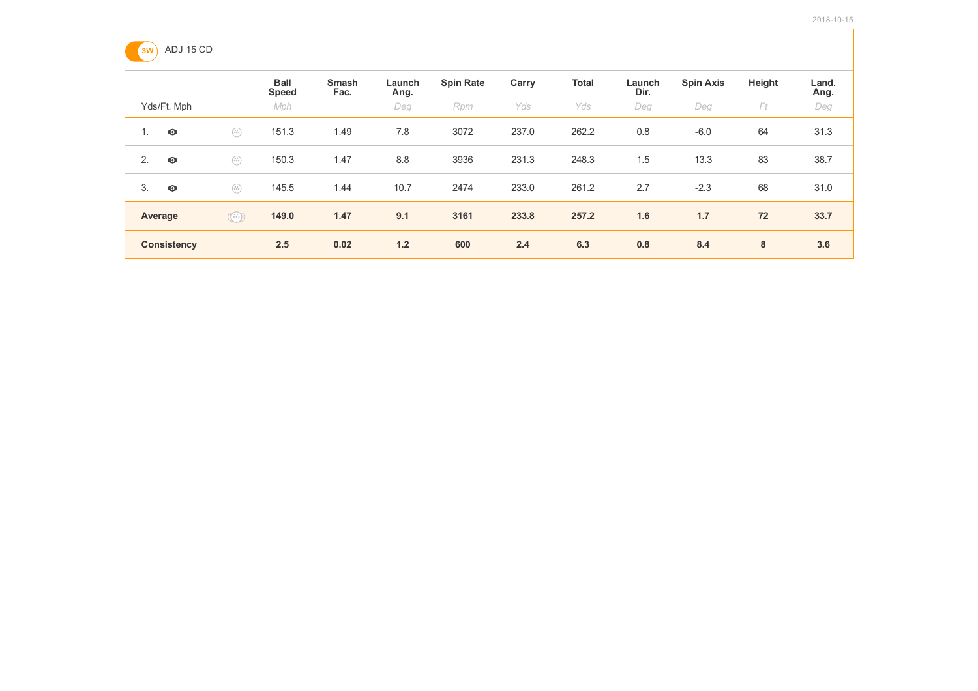

|                          |                                                                                      | <b>Ball</b><br><b>Speed</b> | <b>Smash</b><br>Fac. | Launch<br>Ang. | <b>Spin Rate</b> | Carry | <b>Total</b> | Launch<br>Dir. | <b>Spin Axis</b> | Height | Land.<br>Ang. |
|--------------------------|--------------------------------------------------------------------------------------|-----------------------------|----------------------|----------------|------------------|-------|--------------|----------------|------------------|--------|---------------|
| Yds/Ft, Mph              |                                                                                      | Mph                         |                      | Deg            | Rpm              | Yds   | Yds          | Deg            | Deg              | Ft     | Deg           |
| $\bullet$<br>$1_{\cdot}$ | $\begin{pmatrix} u & u \\ u & u \end{pmatrix}$                                       | 151.3                       | 1.49                 | 7.8            | 3072             | 237.0 | 262.2        | 0.8            | $-6.0$           | 64     | 31.3          |
| 2.<br>$\bullet$          | $\left(\begin{smallmatrix} 0 & 0 \\ 0 & 0 & 0 \\ 0 & 0 & 0 \end{smallmatrix}\right)$ | 150.3                       | 1.47                 | 8.8            | 3936             | 231.3 | 248.3        | 1.5            | 13.3             | 83     | 38.7          |
| 3.<br>$\bullet$          | $\left(\begin{smallmatrix} 0 & 0 \\ 0 & 0 & 0 \\ 0 & 0 & 0 \end{smallmatrix}\right)$ | 145.5                       | 1.44                 | 10.7           | 2474             | 233.0 | 261.2        | 2.7            | $-2.3$           | 68     | 31.0          |
| Average                  | $\odot$                                                                              | 149.0                       | 1.47                 | 9.1            | 3161             | 233.8 | 257.2        | 1.6            | 1.7              | 72     | 33.7          |
| <b>Consistency</b>       |                                                                                      | 2.5                         | 0.02                 | 1.2            | 600              | 2.4   | 6.3          | 0.8            | 8.4              | 8      | 3.6           |
|                          |                                                                                      |                             |                      |                |                  |       |              |                |                  |        |               |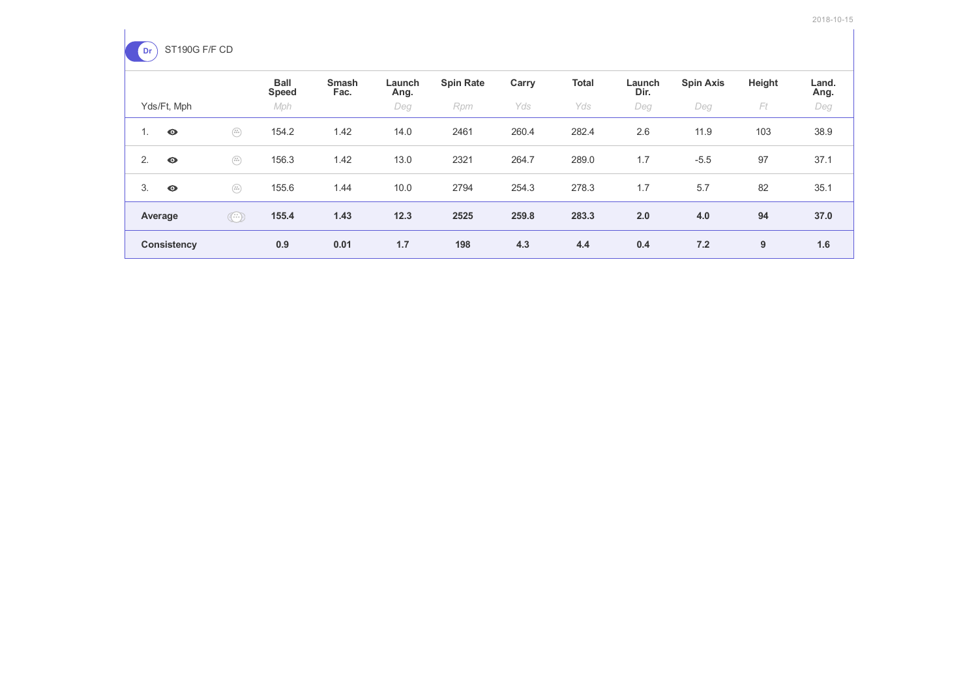

|         |                    |                                                                                                                                                                                                                                                                                                                                                     | <b>Ball</b><br><b>Speed</b> | <b>Smash</b><br>Fac. | Launch<br>Ang. | <b>Spin Rate</b> | Carry | <b>Total</b> | Launch<br>Dir. | <b>Spin Axis</b> | Height | Land.<br>Ang. |
|---------|--------------------|-----------------------------------------------------------------------------------------------------------------------------------------------------------------------------------------------------------------------------------------------------------------------------------------------------------------------------------------------------|-----------------------------|----------------------|----------------|------------------|-------|--------------|----------------|------------------|--------|---------------|
|         | Yds/Ft, Mph        |                                                                                                                                                                                                                                                                                                                                                     | Mph                         |                      | Deg            | Rpm              | Yds   | Yds          | Deg            | Deg              | Ft     | Deg           |
| 1.      | $\bullet$          | $\begin{pmatrix} u \\ 0 \ 0 \ 0 \end{pmatrix}$                                                                                                                                                                                                                                                                                                      | 154.2                       | 1.42                 | 14.0           | 2461             | 260.4 | 282.4        | 2.6            | 11.9             | 103    | 38.9          |
| 2.      | $\bullet$          | $\left(\begin{smallmatrix} 0 & y \\ 0 & 0 \\ 0 & 0 \end{smallmatrix}\right)$                                                                                                                                                                                                                                                                        | 156.3                       | 1.42                 | 13.0           | 2321             | 264.7 | 289.0        | 1.7            | $-5.5$           | 97     | 37.1          |
| 3.      | $\bullet$          | $\begin{pmatrix} u \\ u \\ v \end{pmatrix}$                                                                                                                                                                                                                                                                                                         | 155.6                       | 1.44                 | 10.0           | 2794             | 254.3 | 278.3        | 1.7            | 5.7              | 82     | 35.1          |
| Average |                    | $\begin{picture}(220,20) \put(0,0){\line(1,0){10}} \put(15,0){\line(1,0){10}} \put(15,0){\line(1,0){10}} \put(15,0){\line(1,0){10}} \put(15,0){\line(1,0){10}} \put(15,0){\line(1,0){10}} \put(15,0){\line(1,0){10}} \put(15,0){\line(1,0){10}} \put(15,0){\line(1,0){10}} \put(15,0){\line(1,0){10}} \put(15,0){\line(1,0){10}} \put(15,0){\line($ | 155.4                       | 1.43                 | 12.3           | 2525             | 259.8 | 283.3        | 2.0            | 4.0              | 94     | 37.0          |
|         | <b>Consistency</b> |                                                                                                                                                                                                                                                                                                                                                     | 0.9                         | 0.01                 | 1.7            | 198              | 4.3   | 4.4          | 0.4            | 7.2              | 9      | 1.6           |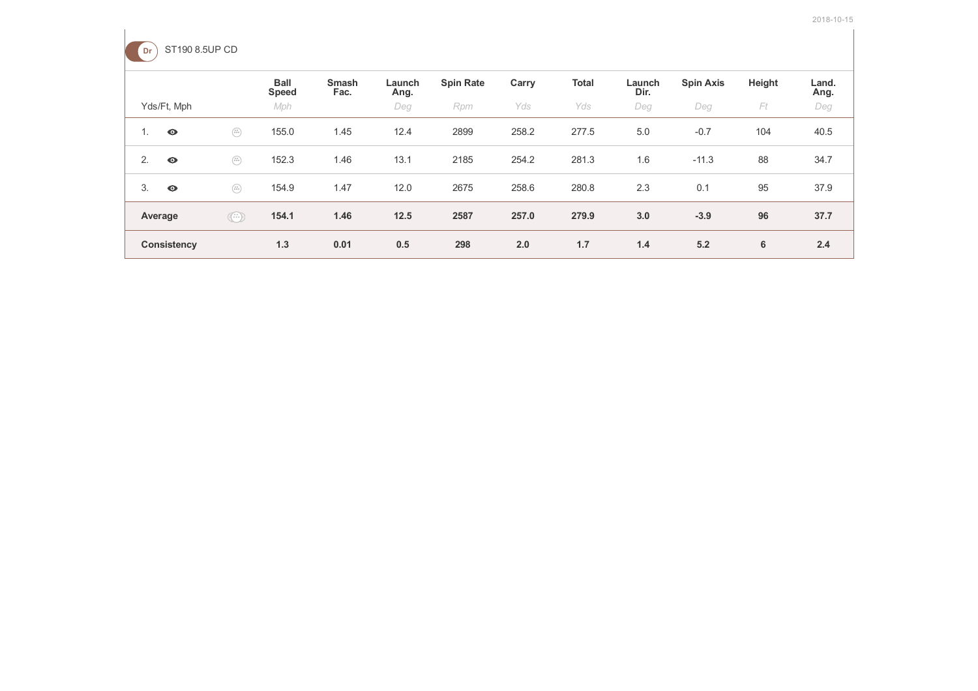

| ____    |                    |                                                                                                                                                                                                                                                                                                                                                     |                             |                      |                |                  |       |              |                |                  |        |               |
|---------|--------------------|-----------------------------------------------------------------------------------------------------------------------------------------------------------------------------------------------------------------------------------------------------------------------------------------------------------------------------------------------------|-----------------------------|----------------------|----------------|------------------|-------|--------------|----------------|------------------|--------|---------------|
|         |                    |                                                                                                                                                                                                                                                                                                                                                     | <b>Ball</b><br><b>Speed</b> | <b>Smash</b><br>Fac. | Launch<br>Ang. | <b>Spin Rate</b> | Carry | <b>Total</b> | Launch<br>Dir. | <b>Spin Axis</b> | Height | Land.<br>Ang. |
|         | Yds/Ft, Mph        |                                                                                                                                                                                                                                                                                                                                                     | Mph                         |                      | Deg            | Rpm              | Yds   | Yds          | Deg            | Deg              | Ft     | Deg           |
| 1.      | $\bullet$          | $\begin{pmatrix} 0 & 0 \\ 0 & 0 \\ 0 & 0 \end{pmatrix}$                                                                                                                                                                                                                                                                                             | 155.0                       | 1.45                 | 12.4           | 2899             | 258.2 | 277.5        | 5.0            | $-0.7$           | 104    | 40.5          |
| 2.      | $\bullet$          | $\begin{pmatrix} u \\ u \\ v \end{pmatrix}$                                                                                                                                                                                                                                                                                                         | 152.3                       | 1.46                 | 13.1           | 2185             | 254.2 | 281.3        | 1.6            | $-11.3$          | 88     | 34.7          |
| 3.      | $\bullet$          | $\begin{pmatrix} 0 & 0 \\ 0 & 0 \\ 0 & 0 \end{pmatrix}$                                                                                                                                                                                                                                                                                             | 154.9                       | 1.47                 | 12.0           | 2675             | 258.6 | 280.8        | 2.3            | 0.1              | 95     | 37.9          |
| Average |                    | $\begin{picture}(42,14) \put(0,0){\line(1,0){155}} \put(1,0){\line(1,0){155}} \put(1,0){\line(1,0){155}} \put(1,0){\line(1,0){155}} \put(1,0){\line(1,0){155}} \put(1,0){\line(1,0){155}} \put(1,0){\line(1,0){155}} \put(1,0){\line(1,0){155}} \put(1,0){\line(1,0){155}} \put(1,0){\line(1,0){155}} \put(1,0){\line(1,0){155}} \put(1,0){\line(1$ | 154.1                       | 1.46                 | 12.5           | 2587             | 257.0 | 279.9        | 3.0            | $-3.9$           | 96     | 37.7          |
|         | <b>Consistency</b> |                                                                                                                                                                                                                                                                                                                                                     | 1.3                         | 0.01                 | 0.5            | 298              | 2.0   | 1.7          | 1.4            | 5.2              | 6      | 2.4           |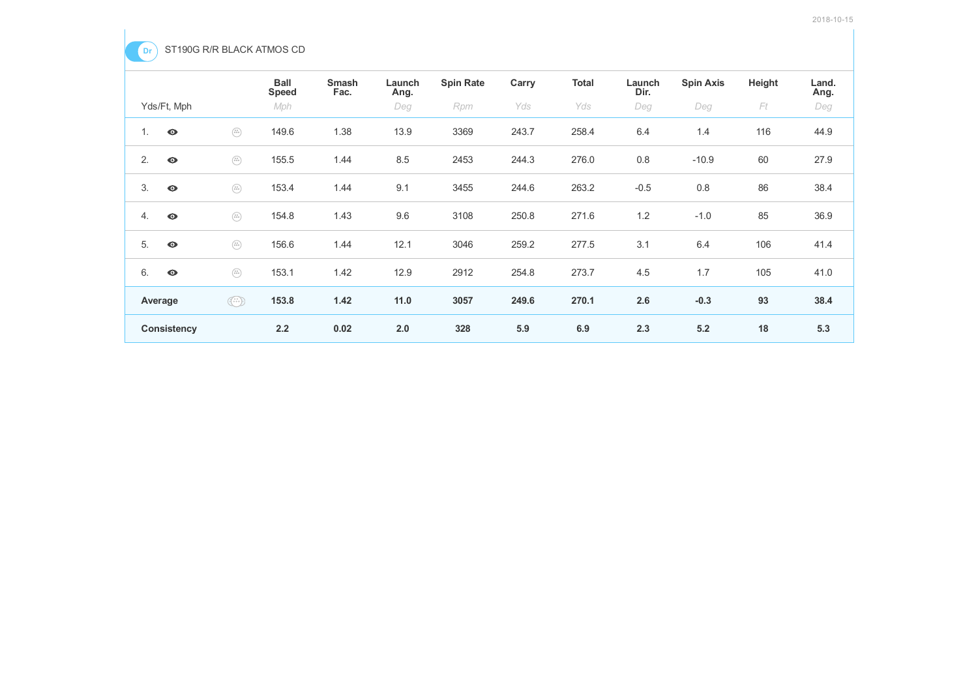

|                    |                                                                                                                                                                                                                                                                                                                                                     | <b>Ball</b><br><b>Speed</b> | <b>Smash</b><br>Fac. | Launch<br>Ang. | <b>Spin Rate</b> | Carry | <b>Total</b> | Launch<br>Dir. | <b>Spin Axis</b> | Height | Land.<br>Ang. |
|--------------------|-----------------------------------------------------------------------------------------------------------------------------------------------------------------------------------------------------------------------------------------------------------------------------------------------------------------------------------------------------|-----------------------------|----------------------|----------------|------------------|-------|--------------|----------------|------------------|--------|---------------|
| Yds/Ft, Mph        |                                                                                                                                                                                                                                                                                                                                                     | Mph                         |                      | Deg            | Rpm              | Yds   | Yds          | Deg            | Deg              | Ft     | Deg           |
| $\bullet$<br>1.    | $\begin{pmatrix} 0 & 0 \\ 0 & 0 \\ 0 & 0 \end{pmatrix}$                                                                                                                                                                                                                                                                                             | 149.6                       | 1.38                 | 13.9           | 3369             | 243.7 | 258.4        | 6.4            | 1.4              | 116    | 44.9          |
| 2.<br>$\bullet$    | $\begin{pmatrix} u \\ u \, u \\ \end{pmatrix}$                                                                                                                                                                                                                                                                                                      | 155.5                       | 1.44                 | 8.5            | 2453             | 244.3 | 276.0        | 0.8            | $-10.9$          | 60     | 27.9          |
| 3.<br>$\bullet$    | $\begin{pmatrix} v \\ v + v \\ \end{pmatrix}$                                                                                                                                                                                                                                                                                                       | 153.4                       | 1.44                 | 9.1            | 3455             | 244.6 | 263.2        | $-0.5$         | 0.8              | 86     | 38.4          |
| 4.<br>$\bullet$    | $\begin{pmatrix} 0 & 0 \\ 0 & 0 \\ 0 & 0 \end{pmatrix}$                                                                                                                                                                                                                                                                                             | 154.8                       | 1.43                 | 9.6            | 3108             | 250.8 | 271.6        | 1.2            | $-1.0$           | 85     | 36.9          |
| 5.<br>$\bullet$    | $\begin{pmatrix} \pi x \\ 0 \pm x \end{pmatrix}$                                                                                                                                                                                                                                                                                                    | 156.6                       | 1.44                 | 12.1           | 3046             | 259.2 | 277.5        | 3.1            | 6.4              | 106    | 41.4          |
| 6.<br>$\bullet$    | $\begin{pmatrix} u \\ u \, u \\ \end{pmatrix}$                                                                                                                                                                                                                                                                                                      | 153.1                       | 1.42                 | 12.9           | 2912             | 254.8 | 273.7        | 4.5            | 1.7              | 105    | 41.0          |
| Average            | $\begin{picture}(42,10) \put(0,0){\line(1,0){10}} \put(15,0){\line(1,0){10}} \put(15,0){\line(1,0){10}} \put(15,0){\line(1,0){10}} \put(15,0){\line(1,0){10}} \put(15,0){\line(1,0){10}} \put(15,0){\line(1,0){10}} \put(15,0){\line(1,0){10}} \put(15,0){\line(1,0){10}} \put(15,0){\line(1,0){10}} \put(15,0){\line(1,0){10}} \put(15,0){\line(1$ | 153.8                       | 1.42                 | 11.0           | 3057             | 249.6 | 270.1        | 2.6            | $-0.3$           | 93     | 38.4          |
| <b>Consistency</b> |                                                                                                                                                                                                                                                                                                                                                     | 2.2                         | 0.02                 | 2.0            | 328              | 5.9   | 6.9          | 2.3            | 5.2              | 18     | 5.3           |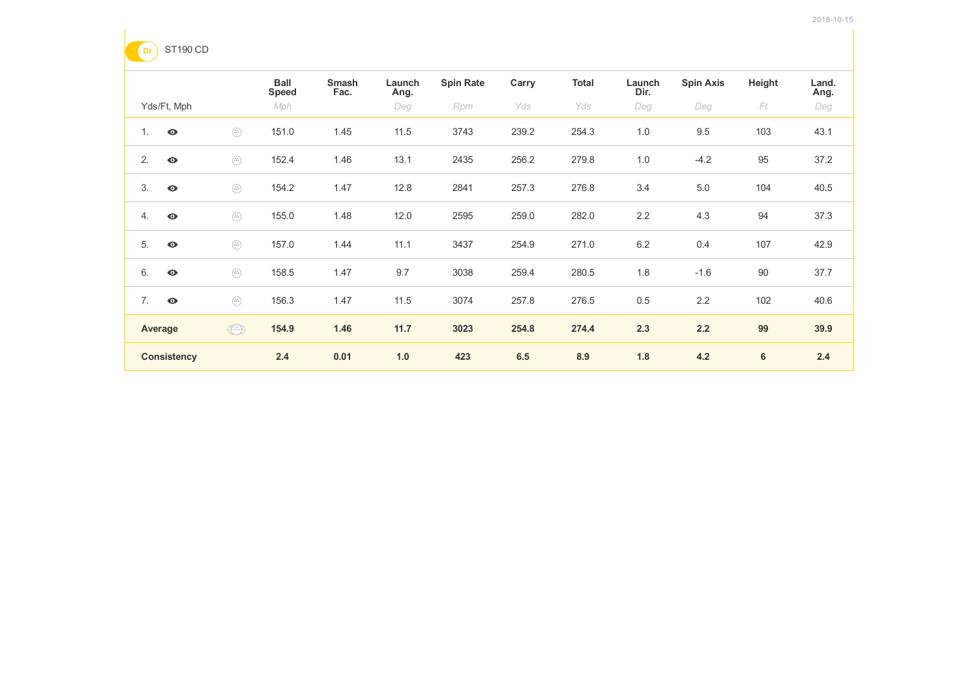

|                    |                                                                                                                                                                                                                                                                                                                                                                                  | <b>Ball</b><br><b>Speed</b> | <b>Smash</b><br>Fac. | Launch<br>Ang. | <b>Spin Rate</b> | Carry | <b>Total</b> | Launch<br>Dir. | <b>Spin Axis</b> | Height | Land.<br>Ang. |
|--------------------|----------------------------------------------------------------------------------------------------------------------------------------------------------------------------------------------------------------------------------------------------------------------------------------------------------------------------------------------------------------------------------|-----------------------------|----------------------|----------------|------------------|-------|--------------|----------------|------------------|--------|---------------|
| Yds/Ft, Mph        |                                                                                                                                                                                                                                                                                                                                                                                  | Mph                         |                      | Deg            | Rpm              | Yds   | Yds          | Deg            | Deg              | Ft     | Deg           |
| 1.<br>$\bullet$    | $\begin{pmatrix} 0 & 0 \\ 0 & 0 \\ 0 & 0 \end{pmatrix}$                                                                                                                                                                                                                                                                                                                          | 151.0                       | 1.45                 | 11.5           | 3743             | 239.2 | 254.3        | 1.0            | 9.5              | 103    | 43.1          |
| 2.<br>$\bullet$    | $\begin{pmatrix} u \\ u \, u \\ \end{pmatrix}$                                                                                                                                                                                                                                                                                                                                   | 152.4                       | 1.46                 | 13.1           | 2435             | 256.2 | 279.8        | 1.0            | $-4.2$           | 95     | 37.2          |
| 3.<br>$\bullet$    | $\begin{pmatrix} v \\ v + v \\ \end{pmatrix}$                                                                                                                                                                                                                                                                                                                                    | 154.2                       | 1.47                 | 12.8           | 2841             | 257.3 | 276.8        | 3.4            | $5.0\,$          | 104    | 40.5          |
| 4.<br>$\bullet$    | $\begin{pmatrix} u \\ u \, u \\ \end{pmatrix}$                                                                                                                                                                                                                                                                                                                                   | 155.0                       | 1.48                 | 12.0           | 2595             | 259.0 | 282.0        | 2.2            | 4.3              | 94     | 37.3          |
| 5.<br>$\bullet$    | $\begin{pmatrix} x\, y \\ 0 \, 0 \, 0 \end{pmatrix}$                                                                                                                                                                                                                                                                                                                             | 157.0                       | 1.44                 | 11.1           | 3437             | 254.9 | 271.0        | $6.2\,$        | 0.4              | 107    | 42.9          |
| 6.<br>$\bullet$    | $\begin{pmatrix} u \\ 0 \ 0 \ 0 \end{pmatrix}$                                                                                                                                                                                                                                                                                                                                   | 158.5                       | 1.47                 | 9.7            | 3038             | 259.4 | 280.5        | 1.8            | $-1.6$           | 90     | 37.7          |
| 7.<br>$\bullet$    | $\begin{pmatrix} u \\ u \, u \\ \end{pmatrix}$                                                                                                                                                                                                                                                                                                                                   | 156.3                       | 1.47                 | 11.5           | 3074             | 257.8 | 276.5        | 0.5            | 2.2              | 102    | 40.6          |
| Average            | $\begin{picture}(42,14) \put(0,0){\vector(0,1){10}} \put(1,0){\vector(0,1){10}} \put(1,0){\vector(0,1){10}} \put(1,0){\vector(0,1){10}} \put(1,0){\vector(0,1){10}} \put(1,0){\vector(0,1){10}} \put(1,0){\vector(0,1){10}} \put(1,0){\vector(0,1){10}} \put(1,0){\vector(0,1){10}} \put(1,0){\vector(0,1){10}} \put(1,0){\vector(0,1){10}} \put(1,0){\vector(0,1){10}} \put(1,$ | 154.9                       | 1.46                 | 11.7           | 3023             | 254.8 | 274.4        | 2.3            | 2.2              | 99     | 39.9          |
| <b>Consistency</b> |                                                                                                                                                                                                                                                                                                                                                                                  | 2.4                         | 0.01                 | 1.0            | 423              | 6.5   | 8.9          | 1.8            | 4.2              | 6      | 2.4           |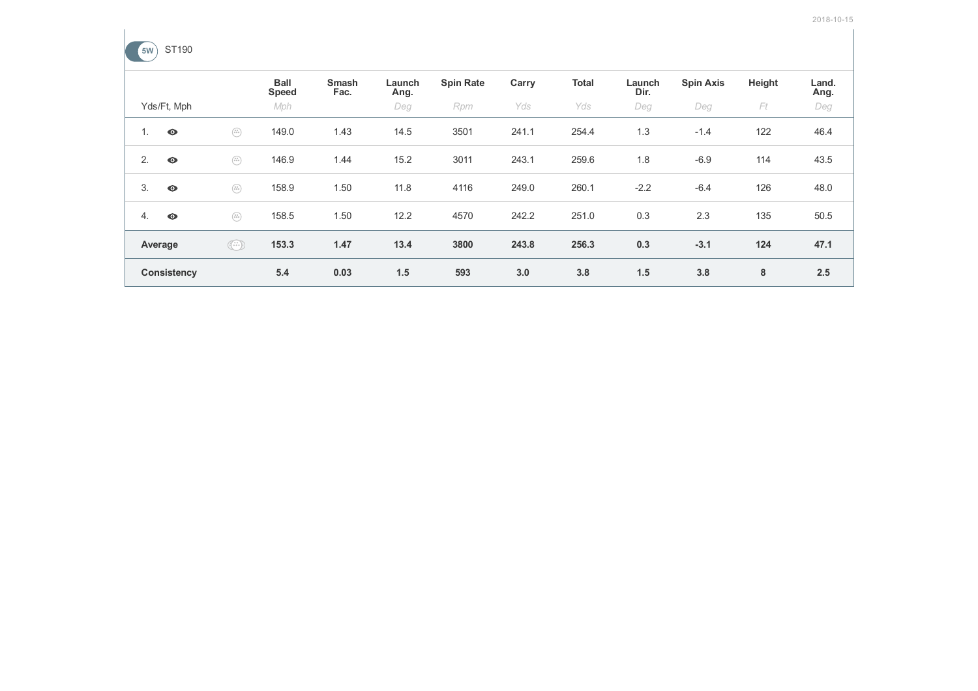

|    |                    |                                                                                                                                                                                                                                                                                                                                                     | <b>Ball</b><br><b>Speed</b> | <b>Smash</b><br>Fac. | Launch<br>Ang. | <b>Spin Rate</b> | Carry | <b>Total</b> | Launch<br>Dir. | <b>Spin Axis</b> | Height | Land.<br>Ang. |
|----|--------------------|-----------------------------------------------------------------------------------------------------------------------------------------------------------------------------------------------------------------------------------------------------------------------------------------------------------------------------------------------------|-----------------------------|----------------------|----------------|------------------|-------|--------------|----------------|------------------|--------|---------------|
|    | Yds/Ft, Mph        |                                                                                                                                                                                                                                                                                                                                                     | Mph                         |                      | Deg            | Rpm              | Yds   | Yds          | Deg            | Deg              | Ft     | Deg           |
| 1. | $\bullet$          | $\begin{pmatrix} u \\ u \, u \\ \end{pmatrix}$                                                                                                                                                                                                                                                                                                      | 149.0                       | 1.43                 | 14.5           | 3501             | 241.1 | 254.4        | 1.3            | $-1.4$           | 122    | 46.4          |
| 2. | $\bullet$          | $\begin{pmatrix} u \\ u \, u \\ \end{pmatrix}$                                                                                                                                                                                                                                                                                                      | 146.9                       | 1.44                 | 15.2           | 3011             | 243.1 | 259.6        | 1.8            | $-6.9$           | 114    | 43.5          |
| 3. | $\bullet$          | $\begin{pmatrix} u \\ u \, u \\ \end{pmatrix}$                                                                                                                                                                                                                                                                                                      | 158.9                       | 1.50                 | 11.8           | 4116             | 249.0 | 260.1        | $-2.2$         | $-6.4$           | 126    | 48.0          |
| 4. | $\bullet$          | $\begin{pmatrix} u & u \\ u & u \end{pmatrix}$                                                                                                                                                                                                                                                                                                      | 158.5                       | 1.50                 | 12.2           | 4570             | 242.2 | 251.0        | 0.3            | 2.3              | 135    | 50.5          |
|    | Average            | $\begin{picture}(42,10) \put(0,0){\line(1,0){10}} \put(15,0){\line(1,0){10}} \put(15,0){\line(1,0){10}} \put(15,0){\line(1,0){10}} \put(15,0){\line(1,0){10}} \put(15,0){\line(1,0){10}} \put(15,0){\line(1,0){10}} \put(15,0){\line(1,0){10}} \put(15,0){\line(1,0){10}} \put(15,0){\line(1,0){10}} \put(15,0){\line(1,0){10}} \put(15,0){\line(1$ | 153.3                       | 1.47                 | 13.4           | 3800             | 243.8 | 256.3        | 0.3            | $-3.1$           | 124    | 47.1          |
|    | <b>Consistency</b> |                                                                                                                                                                                                                                                                                                                                                     | 5.4                         | 0.03                 | 1.5            | 593              | 3.0   | 3.8          | 1.5            | 3.8              | 8      | 2.5           |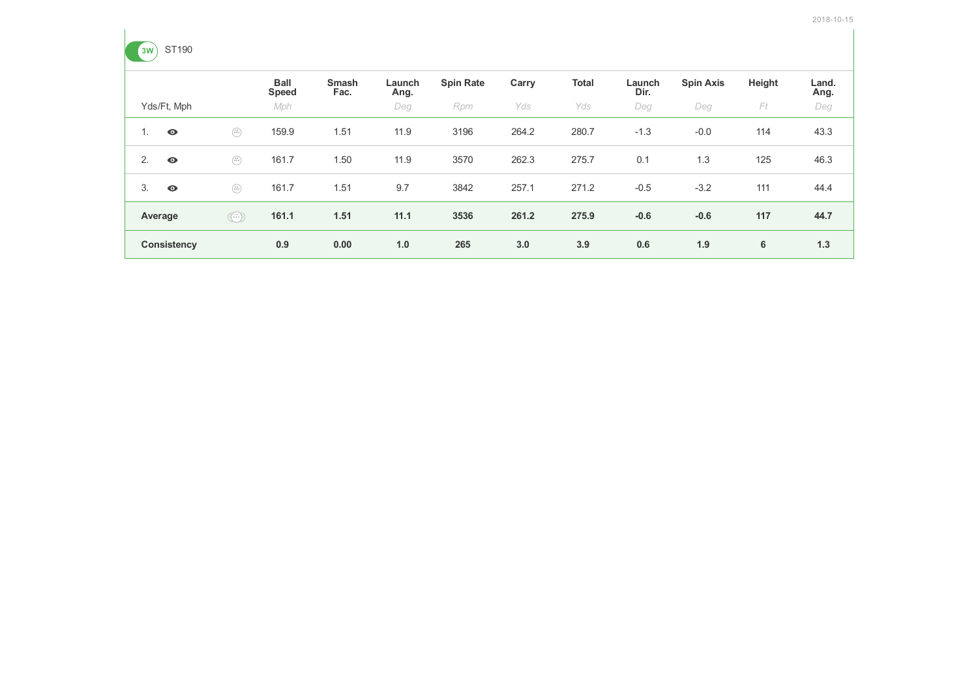

|    |                    |                                                                                                                                                                                                                                                                                                                                                     | <b>Ball</b><br><b>Speed</b> | <b>Smash</b><br>Fac. | Launch<br>Ang. | <b>Spin Rate</b> | Carry | <b>Total</b> | Launch<br>Dir. | <b>Spin Axis</b> | Height | Land.<br>Ang. |
|----|--------------------|-----------------------------------------------------------------------------------------------------------------------------------------------------------------------------------------------------------------------------------------------------------------------------------------------------------------------------------------------------|-----------------------------|----------------------|----------------|------------------|-------|--------------|----------------|------------------|--------|---------------|
|    | Yds/Ft, Mph        |                                                                                                                                                                                                                                                                                                                                                     | Mph                         |                      | Deg            | Rpm              | Yds   | Yds          | Deg            | Deg              | Ft     | Deg           |
| Ι. | $\bullet$          | $\begin{pmatrix} x\, y \\ 0 \, 0 \, 0 \end{pmatrix}$                                                                                                                                                                                                                                                                                                | 159.9                       | 1.51                 | 11.9           | 3196             | 264.2 | 280.7        | $-1.3$         | $-0.0$           | 114    | 43.3          |
| 2. | $\bullet$          | $\begin{pmatrix} x\, y \\ 0 \, 0 \, 0 \end{pmatrix}$                                                                                                                                                                                                                                                                                                | 161.7                       | 1.50                 | 11.9           | 3570             | 262.3 | 275.7        | 0.1            | 1.3              | 125    | 46.3          |
| 3. | $\bullet$          | $\begin{pmatrix} x y \\ \bar x \bar y \bar z \end{pmatrix}$                                                                                                                                                                                                                                                                                         | 161.7                       | 1.51                 | 9.7            | 3842             | 257.1 | 271.2        | $-0.5$         | $-3.2$           | 111    | 44.4          |
|    | Average            | $\begin{picture}(42,14) \put(0,0){\line(1,0){155}} \put(1,0){\line(1,0){155}} \put(1,0){\line(1,0){155}} \put(1,0){\line(1,0){155}} \put(1,0){\line(1,0){155}} \put(1,0){\line(1,0){155}} \put(1,0){\line(1,0){155}} \put(1,0){\line(1,0){155}} \put(1,0){\line(1,0){155}} \put(1,0){\line(1,0){155}} \put(1,0){\line(1,0){155}} \put(1,0){\line(1$ | 161.1                       | 1.51                 | 11.1           | 3536             | 261.2 | 275.9        | $-0.6$         | $-0.6$           | 117    | 44.7          |
|    | <b>Consistency</b> |                                                                                                                                                                                                                                                                                                                                                     | 0.9                         | 0.00                 | 1.0            | 265              | 3.0   | 3.9          | 0.6            | 1.9              | 6      | 1.3           |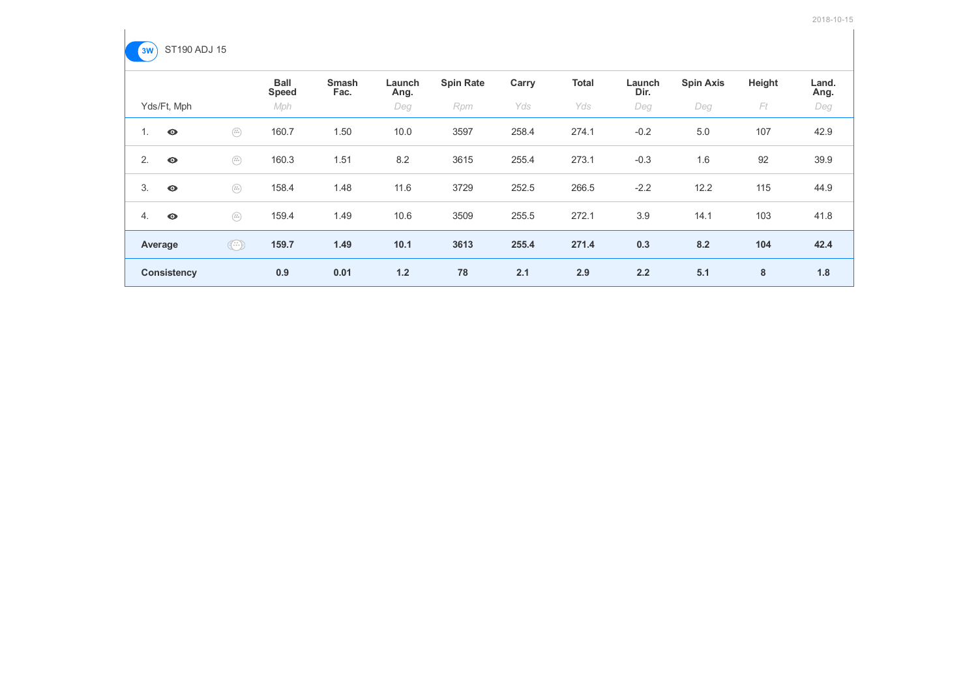

|                    |                                                                                                                                                                                                                                                                                                                                                     | <b>Ball</b><br><b>Speed</b> | <b>Smash</b><br>Fac. | Launch<br>Ang. | <b>Spin Rate</b> | Carry | <b>Total</b> | Launch<br>Dir. | <b>Spin Axis</b> | Height | Land.<br>Ang. |
|--------------------|-----------------------------------------------------------------------------------------------------------------------------------------------------------------------------------------------------------------------------------------------------------------------------------------------------------------------------------------------------|-----------------------------|----------------------|----------------|------------------|-------|--------------|----------------|------------------|--------|---------------|
| Yds/Ft, Mph        |                                                                                                                                                                                                                                                                                                                                                     | Mph                         |                      | Deg            | Rpm              | Yds   | Yds          | Deg            | Deg              | Ft     | Deg           |
| 1.<br>$\bullet$    | $\begin{pmatrix} x\, y \\ 0 \, 0 \, 0 \end{pmatrix}$                                                                                                                                                                                                                                                                                                | 160.7                       | 1.50                 | 10.0           | 3597             | 258.4 | 274.1        | $-0.2$         | 5.0              | 107    | 42.9          |
| 2.<br>$\bullet$    | $\begin{pmatrix} x\, y \\ 0 \, 0 \, 0 \end{pmatrix}$                                                                                                                                                                                                                                                                                                | 160.3                       | 1.51                 | 8.2            | 3615             | 255.4 | 273.1        | $-0.3$         | 1.6              | 92     | 39.9          |
| 3.<br>$\bullet$    | $\begin{pmatrix} x y \\ \bar x \bar y \bar z \end{pmatrix}$                                                                                                                                                                                                                                                                                         | 158.4                       | 1.48                 | 11.6           | 3729             | 252.5 | 266.5        | $-2.2$         | 12.2             | 115    | 44.9          |
| 4.<br>$\bullet$    | $\begin{pmatrix} u \\ u \, u \\ \end{pmatrix}$                                                                                                                                                                                                                                                                                                      | 159.4                       | 1.49                 | 10.6           | 3509             | 255.5 | 272.1        | 3.9            | 14.1             | 103    | 41.8          |
| Average            | $\begin{picture}(22,20) \put(0,0){\line(1,0){10}} \put(15,0){\line(1,0){10}} \put(15,0){\line(1,0){10}} \put(15,0){\line(1,0){10}} \put(15,0){\line(1,0){10}} \put(15,0){\line(1,0){10}} \put(15,0){\line(1,0){10}} \put(15,0){\line(1,0){10}} \put(15,0){\line(1,0){10}} \put(15,0){\line(1,0){10}} \put(15,0){\line(1,0){10}} \put(15,0){\line(1$ | 159.7                       | 1.49                 | 10.1           | 3613             | 255.4 | 271.4        | 0.3            | 8.2              | 104    | 42.4          |
| <b>Consistency</b> |                                                                                                                                                                                                                                                                                                                                                     | 0.9                         | 0.01                 | 1.2            | 78               | 2.1   | 2.9          | 2.2            | 5.1              | 8      | 1.8           |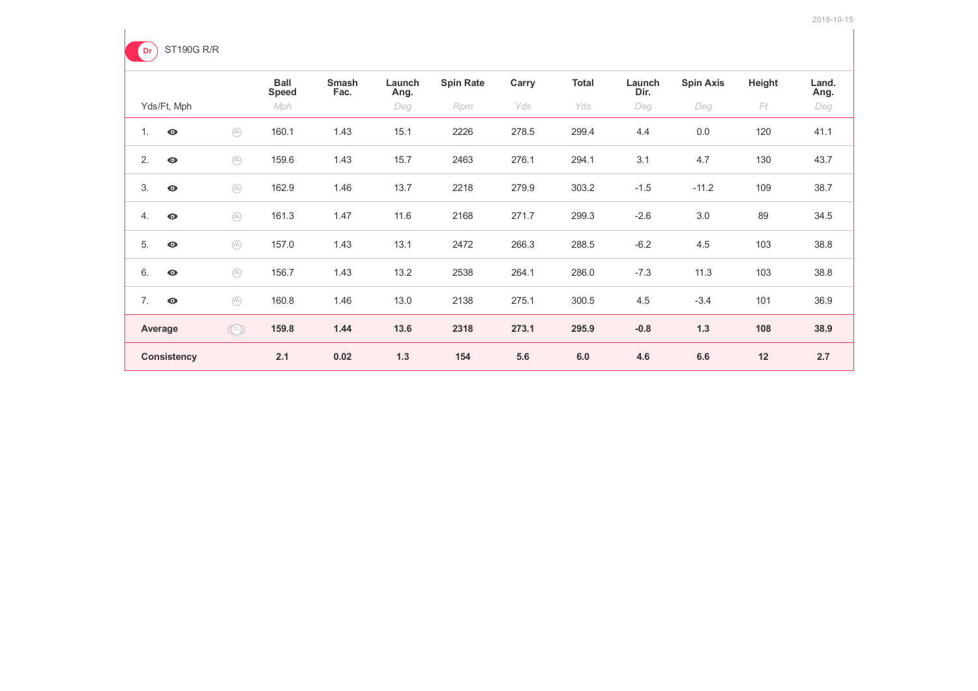

|                    |                                                                                                                                                                                                                                                                                                                                                     | <b>Ball</b><br><b>Speed</b> | <b>Smash</b><br>Fac. | Launch<br>Ang. | <b>Spin Rate</b> | Carry | <b>Total</b> | Launch<br>Dir. | <b>Spin Axis</b> | Height | Land.<br>Ang. |
|--------------------|-----------------------------------------------------------------------------------------------------------------------------------------------------------------------------------------------------------------------------------------------------------------------------------------------------------------------------------------------------|-----------------------------|----------------------|----------------|------------------|-------|--------------|----------------|------------------|--------|---------------|
| Yds/Ft, Mph        |                                                                                                                                                                                                                                                                                                                                                     | Mph                         |                      | Deg            | Rpm              | Yds   | Yds          | Deg            | Deg              | Ft     | Deg           |
| 1.<br>$\bullet$    | $\begin{pmatrix} x\, y \\ 0 \, 0 \, 0 \end{pmatrix}$                                                                                                                                                                                                                                                                                                | 160.1                       | 1.43                 | 15.1           | 2226             | 278.5 | 299.4        | 4.4            | 0.0              | 120    | 41.1          |
| 2.<br>$\bullet$    | $\begin{pmatrix} u \\ u \, u \\ \end{pmatrix}$                                                                                                                                                                                                                                                                                                      | 159.6                       | 1.43                 | 15.7           | 2463             | 276.1 | 294.1        | 3.1            | 4.7              | 130    | 43.7          |
| 3.<br>$\bullet$    | $\begin{pmatrix} u \\ v \\ v \end{pmatrix}$                                                                                                                                                                                                                                                                                                         | 162.9                       | 1.46                 | 13.7           | 2218             | 279.9 | 303.2        | $-1.5$         | $-11.2$          | 109    | 38.7          |
| 4.<br>$\bullet$    | $\begin{pmatrix} x y \\ 0 \ 0 \ 0 \end{pmatrix}$                                                                                                                                                                                                                                                                                                    | 161.3                       | 1.47                 | 11.6           | 2168             | 271.7 | 299.3        | $-2.6$         | 3.0              | 89     | 34.5          |
| 5.<br>$\bullet$    | $\begin{pmatrix} x\, y \\ 0 \, 0 \, 0 \end{pmatrix}$                                                                                                                                                                                                                                                                                                | 157.0                       | 1.43                 | 13.1           | 2472             | 266.3 | 288.5        | $-6.2$         | 4.5              | 103    | 38.8          |
| 6.<br>$\bullet$    | $\begin{pmatrix} x y \\ 0 \ 0 \ 0 \end{pmatrix}$                                                                                                                                                                                                                                                                                                    | 156.7                       | 1.43                 | 13.2           | 2538             | 264.1 | 286.0        | $-7.3$         | 11.3             | 103    | 38.8          |
| 7.<br>$\bullet$    | $\begin{pmatrix} v \\ v + v \\ v \end{pmatrix}$                                                                                                                                                                                                                                                                                                     | 160.8                       | 1.46                 | 13.0           | 2138             | 275.1 | 300.5        | 4.5            | $-3.4$           | 101    | 36.9          |
| Average            | $\begin{picture}(42,14) \put(0,0){\line(1,0){155}} \put(1,0){\line(1,0){155}} \put(1,0){\line(1,0){155}} \put(1,0){\line(1,0){155}} \put(1,0){\line(1,0){155}} \put(1,0){\line(1,0){155}} \put(1,0){\line(1,0){155}} \put(1,0){\line(1,0){155}} \put(1,0){\line(1,0){155}} \put(1,0){\line(1,0){155}} \put(1,0){\line(1,0){155}} \put(1,0){\line(1$ | 159.8                       | 1.44                 | 13.6           | 2318             | 273.1 | 295.9        | $-0.8$         | 1.3              | 108    | 38.9          |
| <b>Consistency</b> |                                                                                                                                                                                                                                                                                                                                                     | 2.1                         | 0.02                 | 1.3            | 154              | 5.6   | 6.0          | 4.6            | 6.6              | 12     | 2.7           |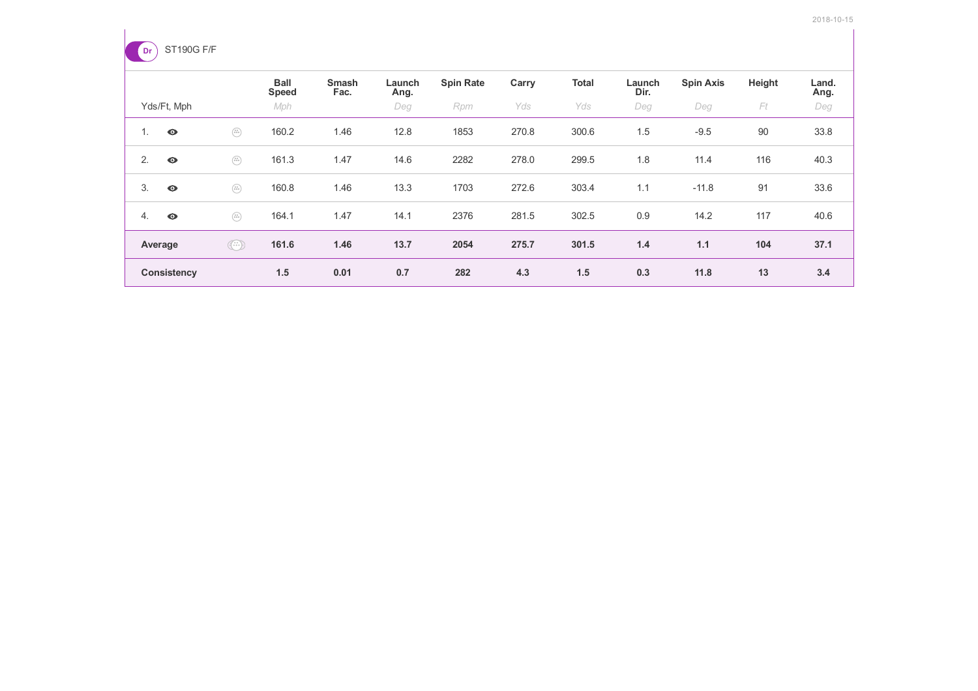

|                    |                                                                                                                                                                                                                                                                                                                                                     | <b>Ball</b><br><b>Speed</b> | <b>Smash</b><br>Fac. | Launch<br>Ang. | <b>Spin Rate</b> | Carry | <b>Total</b> | Launch<br>Dir. | <b>Spin Axis</b> | Height | Land.<br>Ang. |
|--------------------|-----------------------------------------------------------------------------------------------------------------------------------------------------------------------------------------------------------------------------------------------------------------------------------------------------------------------------------------------------|-----------------------------|----------------------|----------------|------------------|-------|--------------|----------------|------------------|--------|---------------|
| Yds/Ft, Mph        |                                                                                                                                                                                                                                                                                                                                                     | Mph                         |                      | Deg            | Rpm              | Yds   | Yds          | Deg            | Deg              | Ft     | Deg           |
| $\bullet$<br>1.    | $\begin{pmatrix} u \\ 0 \ 0 \ 0 \end{pmatrix}$                                                                                                                                                                                                                                                                                                      | 160.2                       | 1.46                 | 12.8           | 1853             | 270.8 | 300.6        | 1.5            | $-9.5$           | 90     | 33.8          |
| 2.<br>$\bullet$    | $\begin{pmatrix} x\, y \\ 0 \, 0 \, 0 \end{pmatrix}$                                                                                                                                                                                                                                                                                                | 161.3                       | 1.47                 | 14.6           | 2282             | 278.0 | 299.5        | 1.8            | 11.4             | 116    | 40.3          |
| 3.<br>$\bullet$    | $\begin{pmatrix} u \\ u \\ v \end{pmatrix}$                                                                                                                                                                                                                                                                                                         | 160.8                       | 1.46                 | 13.3           | 1703             | 272.6 | 303.4        | 1.1            | $-11.8$          | 91     | 33.6          |
| 4.<br>$\bullet$    | $\begin{pmatrix} x\, y \\ 0 \, 0 \, 0 \end{pmatrix}$                                                                                                                                                                                                                                                                                                | 164.1                       | 1.47                 | 14.1           | 2376             | 281.5 | 302.5        | 0.9            | 14.2             | 117    | 40.6          |
| Average            | $\begin{picture}(42,10) \put(0,0){\line(1,0){10}} \put(15,0){\line(1,0){10}} \put(15,0){\line(1,0){10}} \put(15,0){\line(1,0){10}} \put(15,0){\line(1,0){10}} \put(15,0){\line(1,0){10}} \put(15,0){\line(1,0){10}} \put(15,0){\line(1,0){10}} \put(15,0){\line(1,0){10}} \put(15,0){\line(1,0){10}} \put(15,0){\line(1,0){10}} \put(15,0){\line(1$ | 161.6                       | 1.46                 | 13.7           | 2054             | 275.7 | 301.5        | 1.4            | 1.1              | 104    | 37.1          |
| <b>Consistency</b> |                                                                                                                                                                                                                                                                                                                                                     | 1.5                         | 0.01                 | 0.7            | 282              | 4.3   | 1.5          | 0.3            | 11.8             | 13     | 3.4           |